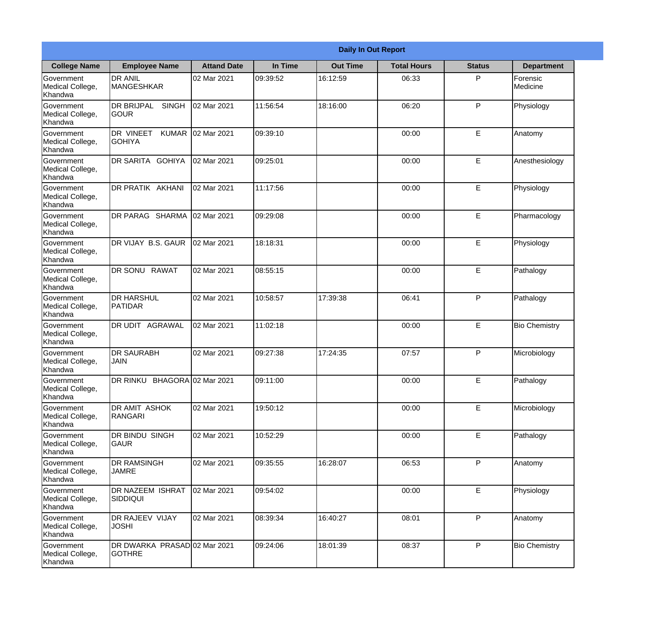|                                                  | <b>Daily In Out Report</b>                    |                    |          |                 |                    |               |                      |  |  |  |
|--------------------------------------------------|-----------------------------------------------|--------------------|----------|-----------------|--------------------|---------------|----------------------|--|--|--|
| <b>College Name</b>                              | <b>Employee Name</b>                          | <b>Attand Date</b> | In Time  | <b>Out Time</b> | <b>Total Hours</b> | <b>Status</b> | <b>Department</b>    |  |  |  |
| Government<br>Medical College,<br>Khandwa        | <b>DR ANIL</b><br><b>MANGESHKAR</b>           | 02 Mar 2021        | 09:39:52 | 16:12:59        | 06:33              | P             | Forensic<br>Medicine |  |  |  |
| Government<br>Medical College,<br>Khandwa        | <b>DR BRIJPAL</b><br><b>SINGH</b><br> GOUR    | 02 Mar 2021        | 11:56:54 | 18:16:00        | 06:20              | P             | Physiology           |  |  |  |
| <b>Government</b><br>Medical College,<br>Khandwa | DR VINEET<br><b>KUMAR</b><br><b>GOHIYA</b>    | 02 Mar 2021        | 09:39:10 |                 | 00:00              | E             | Anatomy              |  |  |  |
| Government<br>Medical College,<br>Khandwa        | DR SARITA GOHIYA                              | 02 Mar 2021        | 09:25:01 |                 | 00:00              | E             | Anesthesiology       |  |  |  |
| Government<br>Medical College,<br>Khandwa        | <b>DR PRATIK AKHANI</b>                       | 02 Mar 2021        | 11:17:56 |                 | 00:00              | E             | Physiology           |  |  |  |
| Government<br>Medical College,<br>Khandwa        | DR PARAG SHARMA                               | 02 Mar 2021        | 09:29:08 |                 | 00:00              | E             | Pharmacology         |  |  |  |
| Government<br>Medical College,<br>Khandwa        | <b>IDR VIJAY B.S. GAUR</b>                    | 02 Mar 2021        | 18:18:31 |                 | 00:00              | E             | Physiology           |  |  |  |
| Government<br>Medical College,<br>Khandwa        | DR SONU RAWAT                                 | 02 Mar 2021        | 08:55:15 |                 | 00:00              | E             | Pathalogy            |  |  |  |
| Government<br>Medical College,<br>Khandwa        | <b>DR HARSHUL</b><br>PATIDAR                  | 02 Mar 2021        | 10:58:57 | 17:39:38        | 06:41              | P             | Pathalogy            |  |  |  |
| Government<br>Medical College,<br>Khandwa        | DR UDIT<br><b>AGRAWAL</b>                     | 02 Mar 2021        | 11:02:18 |                 | 00:00              | E             | <b>Bio Chemistry</b> |  |  |  |
| Government<br>Medical College,<br>Khandwa        | <b>DR SAURABH</b><br><b>JAIN</b>              | 02 Mar 2021        | 09:27:38 | 17:24:35        | 07:57              | $\mathsf{P}$  | Microbiology         |  |  |  |
| Government<br>Medical College,<br>Khandwa        | DR RINKU BHAGORA 02 Mar 2021                  |                    | 09:11:00 |                 | 00:00              | E             | Pathalogy            |  |  |  |
| Government<br>Medical College,<br>Khandwa        | DR AMIT ASHOK<br>RANGARI                      | 02 Mar 2021        | 19:50:12 |                 | 00:00              | E             | Microbiology         |  |  |  |
| Government<br>Medical College,<br>Khandwa        | DR BINDU SINGH<br> GAUR                       | 02 Mar 2021        | 10:52:29 |                 | 00:00              | E             | Pathalogy            |  |  |  |
| Government<br>Medical College,<br>Khandwa        | <b>DR RAMSINGH</b><br><b>JAMRE</b>            | 02 Mar 2021        | 09:35:55 | 16:28:07        | 06:53              | P             | Anatomy              |  |  |  |
| Government<br>Medical College,<br>Khandwa        | <b>DR NAZEEM ISHRAT</b><br>SIDDIQUI           | 02 Mar 2021        | 09:54:02 |                 | 00:00              | E             | Physiology           |  |  |  |
| Government<br>Medical College,<br>Khandwa        | <b>DR RAJEEV VIJAY</b><br><b>JOSHI</b>        | 02 Mar 2021        | 08:39:34 | 16:40:27        | 08:01              | P             | Anatomy              |  |  |  |
| Government<br>Medical College,<br>Khandwa        | DR DWARKA PRASAD 02 Mar 2021<br><b>GOTHRE</b> |                    | 09:24:06 | 18:01:39        | 08:37              | P             | <b>Bio Chemistry</b> |  |  |  |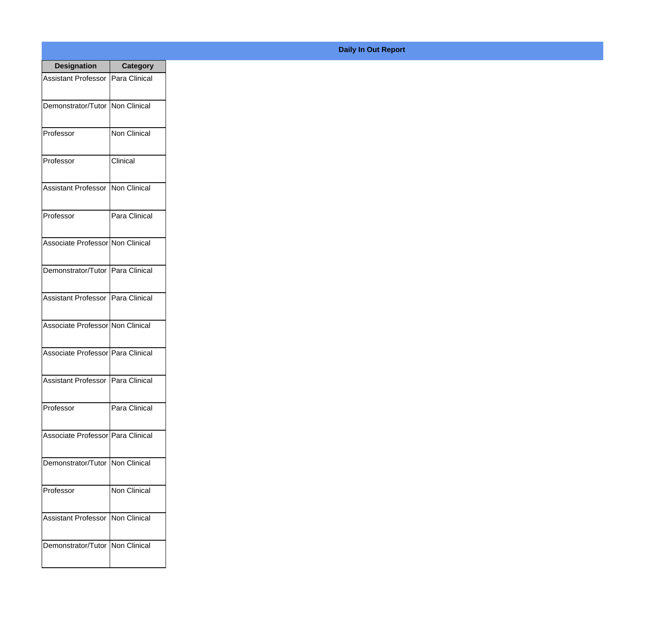| <b>Designation</b>                  | <b>Category</b> |
|-------------------------------------|-----------------|
| Assistant Professor   Para Clinical |                 |
| Demonstrator/Tutor   Non Clinical   |                 |
| Professor                           | Non Clinical    |
| Professor                           | Clinical        |
| <b>Assistant Professor</b>          | Non Clinical    |
| Professor                           | Para Clinical   |
| Associate Professor Non Clinical    |                 |
| Demonstrator/Tutor   Para Clinical  |                 |
| Assistant Professor   Para Clinical |                 |
| Associate Professor Non Clinical    |                 |
| Associate Professor   Para Clinical |                 |
| Assistant Professor   Para Clinical |                 |
| Professor                           | Para Clinical   |
| Associate Professor Para Clinical   |                 |
| Demonstrator/Tutor   Non Clinical   |                 |
| Professor                           | Non Clinical    |
| <b>Assistant Professor</b>          | Non Clinical    |
| Demonstrator/Tutor   Non Clinical   |                 |

## **Daily In Out Report**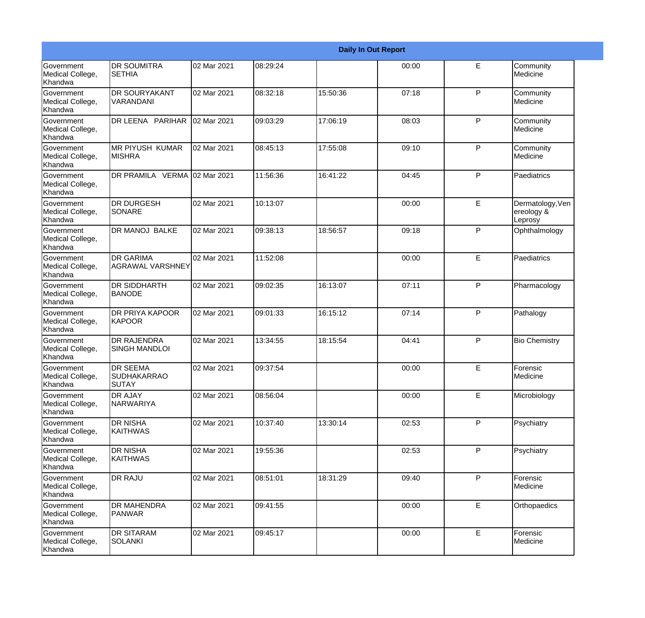|                                                  |                                                       |             | <b>Daily In Out Report</b> |          |       |             |                                           |
|--------------------------------------------------|-------------------------------------------------------|-------------|----------------------------|----------|-------|-------------|-------------------------------------------|
| Government<br>Medical College,<br>Khandwa        | <b>DR SOUMITRA</b><br><b>SETHIA</b>                   | 02 Mar 2021 | 08:29:24                   |          | 00:00 | E           | Community<br>Medicine                     |
| Government<br>Medical College,<br>Khandwa        | <b>DR SOURYAKANT</b><br>VARANDANI                     | 02 Mar 2021 | 08:32:18                   | 15:50:36 | 07:18 | P           | Community<br>Medicine                     |
| <b>Government</b><br>Medical College,<br>Khandwa | DR LEENA PARIHAR                                      | 02 Mar 2021 | 09:03:29                   | 17:06:19 | 08:03 | P           | Community<br>Medicine                     |
| <b>Government</b><br>Medical College,<br>Khandwa | <b>MR PIYUSH KUMAR</b><br><b>MISHRA</b>               | 02 Mar 2021 | 08:45:13                   | 17:55:08 | 09:10 | P           | Community<br>Medicine                     |
| Government<br>Medical College,<br>Khandwa        | DR PRAMILA VERMA 02 Mar 2021                          |             | 11:56:36                   | 16:41:22 | 04:45 | P           | Paediatrics                               |
| Government<br>Medical College,<br><b>Khandwa</b> | <b>DR DURGESH</b><br>SONARE                           | 02 Mar 2021 | 10:13:07                   |          | 00:00 | E           | Dermatology, Ven<br>ereology &<br>Leprosy |
| <b>Government</b><br>Medical College,<br>Khandwa | DR MANOJ BALKE                                        | 02 Mar 2021 | 09:38:13                   | 18:56:57 | 09:18 | P           | Ophthalmology                             |
| Government<br>Medical College,<br>Khandwa        | <b>DR GARIMA</b><br><b>AGRAWAL VARSHNEY</b>           | 02 Mar 2021 | 11:52:08                   |          | 00:00 | E           | Paediatrics                               |
| Government<br>Medical College,<br>Khandwa        | <b>DR SIDDHARTH</b><br><b>BANODE</b>                  | 02 Mar 2021 | 09:02:35                   | 16:13:07 | 07:11 | P           | Pharmacology                              |
| <b>Government</b><br>Medical College,<br>Khandwa | <b>DR PRIYA KAPOOR</b><br>KAPOOR                      | 02 Mar 2021 | 09:01:33                   | 16:15:12 | 07:14 | P           | Pathalogy                                 |
| <b>Government</b><br>Medical College,<br>Khandwa | <b>DR RAJENDRA</b><br><b>SINGH MANDLOI</b>            | 02 Mar 2021 | 13:34:55                   | 18:15:54 | 04:41 | P           | <b>Bio Chemistry</b>                      |
| Government<br>Medical College,<br>Khandwa        | <b>DR SEEMA</b><br><b>SUDHAKARRAO</b><br><b>SUTAY</b> | 02 Mar 2021 | 09:37:54                   |          | 00:00 | E           | Forensic<br>Medicine                      |
| Government<br>Medical College,<br>Khandwa        | <b>DR AJAY</b><br>NARWARIYA                           | 02 Mar 2021 | 08:56:04                   |          | 00:00 | E           | Microbiology                              |
| Government<br>Medical College,<br>Khandwa        | <b>DR NISHA</b><br><b>KAITHWAS</b>                    | 02 Mar 2021 | 10:37:40                   | 13:30:14 | 02:53 | P           | Psychiatry                                |
| Government<br>Medical College,<br>Khandwa        | <b>DR NISHA</b><br><b>KAITHWAS</b>                    | 02 Mar 2021 | 19:55:36                   |          | 02:53 | P           | Psychiatry                                |
| Government<br>Medical College,<br>Khandwa        | <b>DR RAJU</b>                                        | 02 Mar 2021 | 08:51:01                   | 18:31:29 | 09:40 | P           | Forensic<br>Medicine                      |
| Government<br>Medical College,<br>Khandwa        | <b>DR MAHENDRA</b><br>PANWAR                          | 02 Mar 2021 | 09:41:55                   |          | 00:00 | $\mathsf E$ | Orthopaedics                              |
| Government<br>Medical College,<br>Khandwa        | <b>DR SITARAM</b><br><b>SOLANKI</b>                   | 02 Mar 2021 | 09:45:17                   |          | 00:00 | E           | Forensic<br>Medicine                      |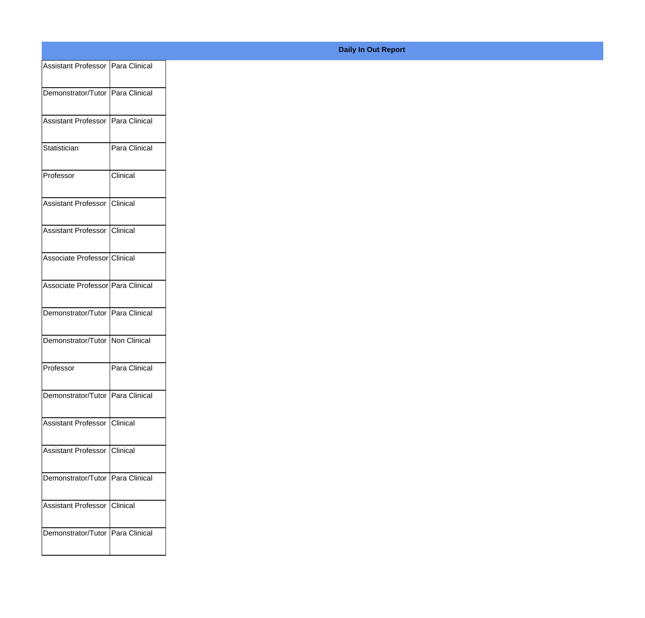| Assistant Professor Para Clinical |               |
|-----------------------------------|---------------|
| Demonstrator/Tutor Para Clinical  |               |
|                                   |               |
| Assistant Professor Para Clinical |               |
| Statistician                      | Para Clinical |
|                                   |               |
| Professor                         | Clinical      |
| Assistant Professor Clinical      |               |
|                                   |               |
| Assistant Professor Clinical      |               |
| Associate Professor Clinical      |               |
| Associate Professor Para Clinical |               |
|                                   |               |
| Demonstrator/Tutor Para Clinical  |               |
| Demonstrator/Tutor Non Clinical   |               |
|                                   |               |
| Professor                         | Para Clinical |
| Demonstrator/Tutor Para Clinical  |               |
| Assistant Professor Clinical      |               |
|                                   |               |
| Assistant Professor Clinical      |               |
| Demonstrator/Tutor Para Clinical  |               |
|                                   |               |
| Assistant Professor Clinical      |               |
| Demonstrator/Tutor Para Clinical  |               |
|                                   |               |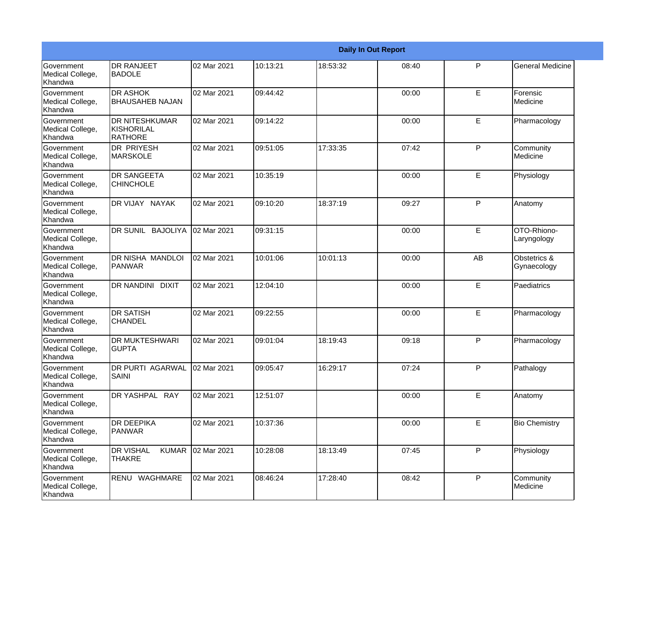|                                           | <b>Daily In Out Report</b>                            |             |          |          |       |             |                             |  |  |
|-------------------------------------------|-------------------------------------------------------|-------------|----------|----------|-------|-------------|-----------------------------|--|--|
| Government<br>Medical College,<br>Khandwa | <b>DR RANJEET</b><br><b>BADOLE</b>                    | 02 Mar 2021 | 10:13:21 | 18:53:32 | 08:40 | P           | <b>General Medicine</b>     |  |  |
| Government<br>Medical College,<br>Khandwa | <b>DR ASHOK</b><br><b>BHAUSAHEB NAJAN</b>             | 02 Mar 2021 | 09:44:42 |          | 00:00 | E           | Forensic<br>Medicine        |  |  |
| Government<br>Medical College,<br>Khandwa | <b>DR NITESHKUMAR</b><br>KISHORILAL<br><b>RATHORE</b> | 02 Mar 2021 | 09:14:22 |          | 00:00 | E           | Pharmacology                |  |  |
| Government<br>Medical College,<br>Khandwa | DR PRIYESH<br><b>MARSKOLE</b>                         | 02 Mar 2021 | 09:51:05 | 17:33:35 | 07:42 | P           | Community<br>Medicine       |  |  |
| Government<br>Medical College,<br>Khandwa | <b>DR SANGEETA</b><br><b>CHINCHOLE</b>                | 02 Mar 2021 | 10:35:19 |          | 00:00 | E           | Physiology                  |  |  |
| Government<br>Medical College,<br>Khandwa | DR VIJAY NAYAK                                        | 02 Mar 2021 | 09:10:20 | 18:37:19 | 09:27 | P           | Anatomy                     |  |  |
| Government<br>Medical College,<br>Khandwa | DR SUNIL BAJOLIYA                                     | 02 Mar 2021 | 09:31:15 |          | 00:00 | E           | OTO-Rhiono-<br>Laryngology  |  |  |
| Government<br>Medical College,<br>Khandwa | DR NISHA MANDLOI<br>PANWAR                            | 02 Mar 2021 | 10:01:06 | 10:01:13 | 00:00 | AB          | Obstetrics &<br>Gynaecology |  |  |
| Government<br>Medical College,<br>Khandwa | DR NANDINI DIXIT                                      | 02 Mar 2021 | 12:04:10 |          | 00:00 | E           | Paediatrics                 |  |  |
| Government<br>Medical College,<br>Khandwa | <b>DR SATISH</b><br><b>CHANDEL</b>                    | 02 Mar 2021 | 09:22:55 |          | 00:00 | E           | Pharmacology                |  |  |
| Government<br>Medical College,<br>Khandwa | <b>DR MUKTESHWARI</b><br><b>GUPTA</b>                 | 02 Mar 2021 | 09:01:04 | 18:19:43 | 09:18 | P           | Pharmacology                |  |  |
| Government<br>Medical College,<br>Khandwa | DR PURTI AGARWAL<br>SAINI                             | 02 Mar 2021 | 09:05:47 | 16:29:17 | 07:24 | P           | Pathalogy                   |  |  |
| Government<br>Medical College,<br>Khandwa | DR YASHPAL RAY                                        | 02 Mar 2021 | 12:51:07 |          | 00:00 | $\mathsf E$ | Anatomy                     |  |  |
| Government<br>Medical College,<br>Khandwa | <b>DR DEEPIKA</b><br>PANWAR                           | 02 Mar 2021 | 10:37:36 |          | 00:00 | E           | <b>Bio Chemistry</b>        |  |  |
| Government<br>Medical College,<br>Khandwa | <b>DR VISHAL</b><br><b>KUMAR</b><br><b>THAKRE</b>     | 02 Mar 2021 | 10:28:08 | 18:13:49 | 07:45 | P           | Physiology                  |  |  |
| Government<br>Medical College,<br>Khandwa | RENU WAGHMARE                                         | 02 Mar 2021 | 08:46:24 | 17:28:40 | 08:42 | P           | Community<br>Medicine       |  |  |